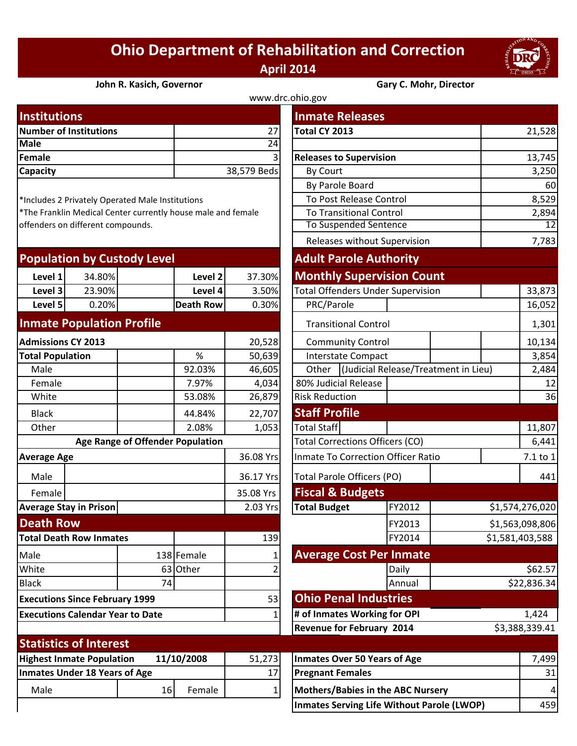## **Ohio Department of Rehabilitation and Correction April 2014**



**John R. Kasich, Governor Gary C. Mohr, Director**

| www.drc.ohio.gov       |                |                                |               |  |  |  |  |
|------------------------|----------------|--------------------------------|---------------|--|--|--|--|
| <b>Institutions</b>    |                | <b>Inmate Releases</b>         |               |  |  |  |  |
| Number of Institutions | 27             | Total CY 2013                  | 21,528        |  |  |  |  |
| <b>Male</b>            | 24             |                                |               |  |  |  |  |
| Female                 | $\overline{3}$ | <b>Releases to Supervision</b> | 13,745        |  |  |  |  |
| <b>Capacity</b>        | 38,579 Beds    | <b>By Court</b>                | 3,250         |  |  |  |  |
|                        |                | - - ' -                        | $\sim$ $\sim$ |  |  |  |  |

| <b>Population by Custody Level</b> |        |             |         | <b>Adult Parole Authority</b> |                                          |  |  |
|------------------------------------|--------|-------------|---------|-------------------------------|------------------------------------------|--|--|
| Level 1                            | 34.80% |             | Level 2 | 37.30%                        | <b>Monthly Supervision Count</b>         |  |  |
| Level 3                            | 23.90% |             | Level 4 | 3.50%                         | <b>Total Offenders Under Supervision</b> |  |  |
| Level 5                            | 0.20%  | lDeath Rowl |         | 0.30%                         | PRC/Parole                               |  |  |
|                                    |        |             |         |                               |                                          |  |  |

## **Inmate Population Profile**

| <b>Admissions CY 2013</b>                      |                         |                                                                       | 20,528                       | <b>Community Control</b>               |                                                    |                                                                                                                                      | 10,134                               |  |
|------------------------------------------------|-------------------------|-----------------------------------------------------------------------|------------------------------|----------------------------------------|----------------------------------------------------|--------------------------------------------------------------------------------------------------------------------------------------|--------------------------------------|--|
|                                                |                         | %                                                                     | 50,639                       |                                        |                                                    |                                                                                                                                      |                                      |  |
|                                                |                         | 92.03%                                                                | 46,605                       | Other                                  |                                                    |                                                                                                                                      |                                      |  |
|                                                |                         | 7.97%                                                                 | 4,034                        |                                        |                                                    |                                                                                                                                      |                                      |  |
|                                                |                         | 53.08%                                                                | 26,879                       | <b>Risk Reduction</b>                  |                                                    |                                                                                                                                      |                                      |  |
|                                                |                         | 44.84%                                                                | 22,707                       | <b>Staff Profile</b>                   |                                                    |                                                                                                                                      |                                      |  |
|                                                |                         | 2.08%                                                                 | 1,053                        | <b>Total Staff</b>                     |                                                    |                                                                                                                                      | 11,807                               |  |
| Age Range of Offender Population               |                         |                                                                       |                              | <b>Total Corrections Officers (CO)</b> |                                                    |                                                                                                                                      |                                      |  |
| <b>Average Age</b>                             |                         |                                                                       | 36.08 Yrs                    |                                        | Inmate To Correction Officer Ratio                 |                                                                                                                                      |                                      |  |
|                                                |                         |                                                                       | 36.17 Yrs                    | <b>Total Parole Officers (PO)</b>      |                                                    |                                                                                                                                      | 441                                  |  |
|                                                |                         |                                                                       | 35.08 Yrs                    |                                        |                                                    |                                                                                                                                      |                                      |  |
| <b>Average Stay in Prison</b>                  |                         |                                                                       | 2.03 Yrs                     | <b>Total Budget</b>                    | FY2012                                             |                                                                                                                                      | \$1,574,276,020                      |  |
| <b>Death Row</b>                               |                         |                                                                       |                              |                                        | FY2013                                             |                                                                                                                                      | \$1,563,098,806                      |  |
| <b>Total Death Row Inmates</b>                 |                         |                                                                       | 139                          |                                        | FY2014<br>\$1,581,403,588                          |                                                                                                                                      |                                      |  |
|                                                |                         |                                                                       |                              | <b>Average Cost Per Inmate</b>         |                                                    |                                                                                                                                      |                                      |  |
|                                                |                         |                                                                       |                              |                                        | Daily                                              |                                                                                                                                      |                                      |  |
|                                                | 74                      |                                                                       |                              |                                        | Annual                                             | \$22,836.34                                                                                                                          |                                      |  |
| 53<br><b>Executions Since February 1999</b>    |                         |                                                                       |                              |                                        |                                                    |                                                                                                                                      |                                      |  |
| <b>Executions Calendar Year to Date</b>        |                         |                                                                       |                              |                                        | # of Inmates Working for OPI<br>1,424              |                                                                                                                                      |                                      |  |
|                                                |                         |                                                                       |                              |                                        | <b>Revenue for February 2014</b><br>\$3,388,339.41 |                                                                                                                                      |                                      |  |
|                                                |                         |                                                                       |                              |                                        |                                                    |                                                                                                                                      |                                      |  |
| <b>Highest Inmate Population</b><br>11/10/2008 |                         |                                                                       | 51,273                       | <b>Inmates Over 50 Years of Age</b>    |                                                    |                                                                                                                                      | 7,499                                |  |
|                                                |                         |                                                                       | 17                           |                                        |                                                    |                                                                                                                                      | 31                                   |  |
|                                                |                         | Female                                                                | 1                            | Mothers/Babies in the ABC Nursery      |                                                    |                                                                                                                                      | 4                                    |  |
|                                                | <b>Total Population</b> | <b>Statistics of Interest</b><br><b>Inmates Under 18 Years of Age</b> | 138 Female<br>63 Other<br>16 |                                        |                                                    | Interstate Compact<br>80% Judicial Release<br><b>Fiscal &amp; Budgets</b><br><b>Ohio Penal Industries</b><br><b>Pregnant Females</b> | (Judicial Release/Treatment in Lieu) |  |

| <b>Institutions</b>                                                                               |                                  |                  |                             | <b>Inmate Releases</b>                        |                              |                 |                 |  |
|---------------------------------------------------------------------------------------------------|----------------------------------|------------------|-----------------------------|-----------------------------------------------|------------------------------|-----------------|-----------------|--|
| <b>Number of Institutions</b>                                                                     |                                  |                  | 27                          | Total CY 2013                                 |                              |                 | 21,528          |  |
| <b>Male</b>                                                                                       |                                  | $\overline{24}$  |                             |                                               |                              |                 |                 |  |
| <b>Female</b>                                                                                     |                                  |                  |                             | <b>Releases to Supervision</b>                |                              |                 | 13,745          |  |
| Capacity                                                                                          |                                  |                  | 38,579 Beds                 | By Court                                      |                              |                 | 3,250           |  |
|                                                                                                   |                                  |                  |                             | By Parole Board                               |                              |                 | 60              |  |
| *Includes 2 Privately Operated Male Institutions                                                  |                                  |                  |                             | To Post Release Control                       |                              |                 | 8,529           |  |
| *The Franklin Medical Center currently house male and female<br>offenders on different compounds. |                                  |                  |                             | <b>To Transitional Control</b>                |                              |                 | 2,894           |  |
|                                                                                                   |                                  |                  |                             | <b>To Suspended Sentence</b>                  |                              |                 | 12<br>7,783     |  |
|                                                                                                   |                                  |                  |                             |                                               | Releases without Supervision |                 |                 |  |
| <b>Population by Custody Level</b>                                                                |                                  |                  |                             | <b>Adult Parole Authority</b>                 |                              |                 |                 |  |
| 34.80%<br>Level 1                                                                                 |                                  | Level 2          | 37.30%                      | <b>Monthly Supervision Count</b>              |                              |                 |                 |  |
| Level 3<br>23.90%                                                                                 |                                  | Level 4          | 3.50%                       | <b>Total Offenders Under Supervision</b>      |                              |                 | 33,873          |  |
| Level 5<br>0.20%                                                                                  |                                  | <b>Death Row</b> | 0.30%                       | PRC/Parole                                    |                              |                 | 16,052          |  |
| <b>Inmate Population Profile</b>                                                                  |                                  |                  |                             |                                               | <b>Transitional Control</b>  |                 |                 |  |
| <b>Admissions CY 2013</b>                                                                         |                                  |                  | 20,528                      | <b>Community Control</b>                      |                              |                 | 10,134          |  |
| <b>Total Population</b>                                                                           |                                  | $\%$             | 50,639                      |                                               | <b>Interstate Compact</b>    |                 | 3,854           |  |
| Male                                                                                              |                                  | 92.03%           | 46,605                      | (Judicial Release/Treatment in Lieu)<br>Other |                              |                 | 2,484           |  |
| Female                                                                                            |                                  | 7.97%            | 4,034                       | 80% Judicial Release                          |                              | 12              |                 |  |
| White                                                                                             |                                  | 53.08%           | 26,879                      | <b>Risk Reduction</b>                         |                              |                 | 36              |  |
| <b>Black</b>                                                                                      |                                  | 44.84%           | 22,707                      | <b>Staff Profile</b>                          |                              |                 |                 |  |
| Other                                                                                             |                                  | 2.08%            | 1,053                       | <b>Total Staff</b>                            |                              |                 | 11,807          |  |
|                                                                                                   | Age Range of Offender Population |                  |                             | Total Corrections Officers (CO)               |                              |                 | 6,441           |  |
| <b>Average Age</b>                                                                                |                                  |                  | 36.08 Yrs                   | Inmate To Correction Officer Ratio            |                              |                 | 7.1 to 1        |  |
| Male                                                                                              |                                  |                  | 36.17 Yrs                   | <b>Total Parole Officers (PO)</b>             |                              |                 | 441             |  |
| Female                                                                                            |                                  | 35.08 Yrs        | <b>Fiscal &amp; Budgets</b> |                                               |                              |                 |                 |  |
| <b>Average Stay in Prison</b>                                                                     |                                  | 2.03 Yrs         | <b>Total Budget</b>         | FY2012                                        |                              | \$1,574,276,020 |                 |  |
| <b>Death Row</b>                                                                                  |                                  |                  |                             |                                               | FY2013                       |                 | \$1,563,098,806 |  |
| <b>Total Death Row Inmates</b>                                                                    |                                  |                  | 139                         |                                               | FY2014                       |                 | \$1,581,403,588 |  |
| Male                                                                                              |                                  | 138 Female       |                             | <b>Average Cost Per Inmate</b>                |                              |                 |                 |  |
| White                                                                                             | 63                               | Other            |                             |                                               | Daily                        |                 | \$62.57         |  |
| <b>Black</b>                                                                                      | 74                               |                  |                             |                                               | Annual                       |                 | \$22,836.34     |  |
| <b>Executions Since February 1999</b>                                                             |                                  |                  | 53                          | <b>Ohio Penal Industries</b>                  |                              |                 |                 |  |
| <b>Executions Calendar Year to Date</b>                                                           |                                  |                  |                             | # of Inmates Working for OPI                  |                              |                 | 1,424           |  |
|                                                                                                   |                                  |                  |                             | <b>Revenue for February 2014</b>              |                              |                 | \$3,388,339.41  |  |
| <b>Statistics of Interest</b>                                                                     |                                  |                  |                             |                                               |                              |                 |                 |  |
| <b>Highest Inmate Population</b><br>11/10/2008                                                    |                                  |                  | 51,273                      | <b>Inmates Over 50 Years of Age</b>           |                              |                 | 7,499           |  |
| <b>Inmates Under 18 Years of Age</b>                                                              |                                  |                  | 17                          | <b>Pregnant Females</b>                       |                              |                 | 31              |  |

**Inmates Serving Life Without Parole (LWOP)** 459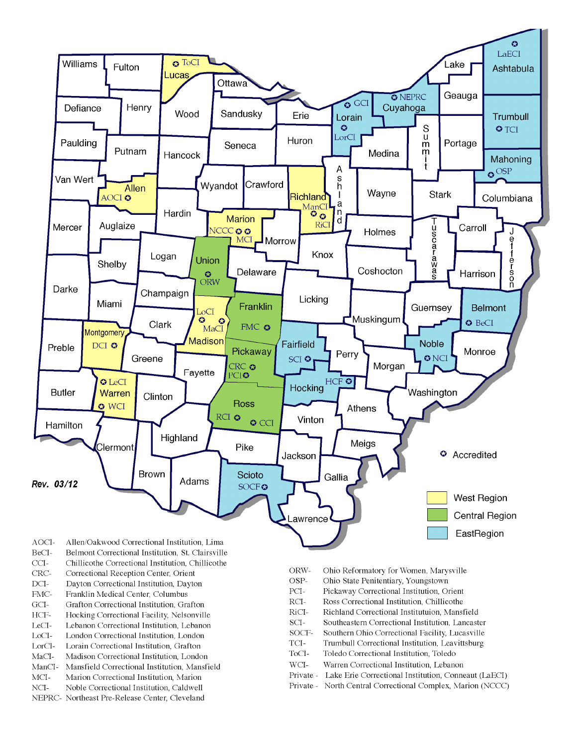

- BeCI-Belmont Correctional Institution, St. Clairsville
- $CCI-$ Chillicothe Correctional Institution, Chillicothe
- Correctional Reception Center, Orient CRC-
- $DCI-$ Dayton Correctional Institution, Dayton
- FMC-Franklin Medical Center, Columbus
- $\rm{GCI}\mbox{-}$ Grafton Correctional Institution, Grafton
- HCF-Hocking Correctional Facility, Nelsonville
- LeCI-Lebanon Correctional Institution, Lebanon
- LoCI-London Correctional Institution. London
- $\operatorname{LorCl-}$ Lorain Correctional Institution, Grafton
- $MaCI-$ Madison Correctional Institution, London
- ManCI-Mansfield Correctional Institution, Mansfield MCI-Marion Correctional Institution, Marion
- Noble Correctional Institution, Caldwell
- NCI-NEPRC- Northeast Pre-Release Center, Cleveland
- ORW-Ohio Reformatory for Women, Marysville
- OSP-Ohio State Penitentiary, Youngstown
- PCI-Pickaway Correctional Institution, Orient
- $\rm RCI-$ Ross Correctional Institution, Chillicothe
- RiCI-Richland Correctional Institutuion, Mansfield
- SCI-Southeastern Correctional Institution, Lancaster
- SOCF-Southern Ohio Correctional Facility, Lucasville
- TCI-Trumbull Correctional Institution, Leavittsburg
- ToCI-Toledo Correctional Institution, Toledo
- $WCI-$ Warren Correctional Institution, Lebanon
- Private Lake Erie Correctional Institution, Conneaut (LaECI)
- Private North Central Correctional Complex, Marion (NCCC)